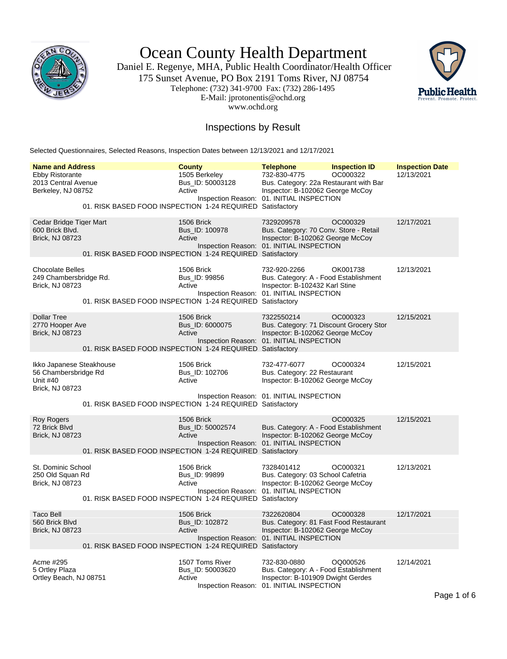

Ocean County Health Department

Daniel E. Regenye, MHA, Public Health Coordinator/Health Officer 175 Sunset Avenue, PO Box 2191 Toms River, NJ 08754 Telephone: (732) 341-9700 Fax: (732) 286-1495 E-Mail: jprotonentis@ochd.org www.ochd.org



### Inspections by Result

Selected Questionnaires, Selected Reasons, Inspection Dates between 12/13/2021 and 12/17/2021

| <b>Name and Address</b>                                                         |                                                           | <b>County</b>                                  | <b>Telephone</b>                                                                                                                        | <b>Inspection ID</b> | <b>Inspection Date</b> |
|---------------------------------------------------------------------------------|-----------------------------------------------------------|------------------------------------------------|-----------------------------------------------------------------------------------------------------------------------------------------|----------------------|------------------------|
| <b>Ebby Ristorante</b><br>2013 Central Avenue<br>Berkeley, NJ 08752             | 01. RISK BASED FOOD INSPECTION 1-24 REQUIRED Satisfactory | 1505 Berkeley<br>Bus ID: 50003128<br>Active    | 732-830-4775<br>Bus. Category: 22a Restaurant with Bar<br>Inspector: B-102062 George McCoy<br>Inspection Reason: 01. INITIAL INSPECTION | OC000322             | 12/13/2021             |
| Cedar Bridge Tiger Mart<br>600 Brick Blvd.<br><b>Brick, NJ 08723</b>            | 01. RISK BASED FOOD INSPECTION 1-24 REQUIRED Satisfactory | 1506 Brick<br>Bus_ID: 100978<br>Active         | 7329209578<br>Bus. Category: 70 Conv. Store - Retail<br>Inspector: B-102062 George McCoy<br>Inspection Reason: 01. INITIAL INSPECTION   | OC000329             | 12/17/2021             |
| <b>Chocolate Belles</b><br>249 Chambersbridge Rd.<br>Brick, NJ 08723            | 01. RISK BASED FOOD INSPECTION 1-24 REQUIRED Satisfactory | 1506 Brick<br>Bus_ID: 99856<br>Active          | 732-920-2266<br>Bus. Category: A - Food Establishment<br>Inspector: B-102432 Karl Stine<br>Inspection Reason: 01. INITIAL INSPECTION    | OK001738             | 12/13/2021             |
| <b>Dollar Tree</b><br>2770 Hooper Ave<br><b>Brick, NJ 08723</b>                 | 01. RISK BASED FOOD INSPECTION 1-24 REQUIRED Satisfactory | <b>1506 Brick</b><br>Bus_ID: 6000075<br>Active | 7322550214<br>Bus. Category: 71 Discount Grocery Stor<br>Inspector: B-102062 George McCoy<br>Inspection Reason: 01. INITIAL INSPECTION  | OC000323             | 12/15/2021             |
| Ikko Japanese Steakhouse<br>56 Chambersbridge Rd<br>Unit #40<br>Brick, NJ 08723 |                                                           | 1506 Brick<br>Bus_ID: 102706<br>Active         | 732-477-6077<br>Bus. Category: 22 Restaurant<br>Inspector: B-102062 George McCoy<br>Inspection Reason: 01. INITIAL INSPECTION           | OC000324             | 12/15/2021             |
|                                                                                 | 01. RISK BASED FOOD INSPECTION 1-24 REQUIRED Satisfactory |                                                |                                                                                                                                         |                      |                        |
| <b>Roy Rogers</b><br>72 Brick Blvd<br>Brick, NJ 08723                           | 01. RISK BASED FOOD INSPECTION 1-24 REQUIRED Satisfactory | 1506 Brick<br>Bus_ID: 50002574<br>Active       | Bus. Category: A - Food Establishment<br>Inspector: B-102062 George McCoy<br>Inspection Reason: 01. INITIAL INSPECTION                  | OC000325             | 12/15/2021             |
| St. Dominic School<br>250 Old Squan Rd<br><b>Brick, NJ 08723</b>                | 01. RISK BASED FOOD INSPECTION 1-24 REQUIRED Satisfactory | 1506 Brick<br>Bus_ID: 99899<br>Active          | 7328401412<br>Bus. Category: 03 School Cafetria<br>Inspector: B-102062 George McCoy<br>Inspection Reason: 01. INITIAL INSPECTION        | OC000321             | 12/13/2021             |
| <b>Taco Bell</b><br>560 Brick Blvd<br>Brick, NJ 08723                           | 01. RISK BASED FOOD INSPECTION 1-24 REQUIRED Satisfactory | 1506 Brick<br>Bus ID: 102872<br>Active         | 7322620804<br>Bus. Category: 81 Fast Food Restaurant<br>Inspector: B-102062 George McCoy<br>Inspection Reason: 01. INITIAL INSPECTION   | OC000328             | 12/17/2021             |
| Acme #295<br>5 Ortley Plaza<br>Ortley Beach, NJ 08751                           |                                                           | 1507 Toms River<br>Bus_ID: 50003620<br>Active  | 732-830-0880<br>Bus. Category: A - Food Establishment<br>Inspector: B-101909 Dwight Gerdes<br>Inspection Reason: 01. INITIAL INSPECTION | OQ000526             | 12/14/2021             |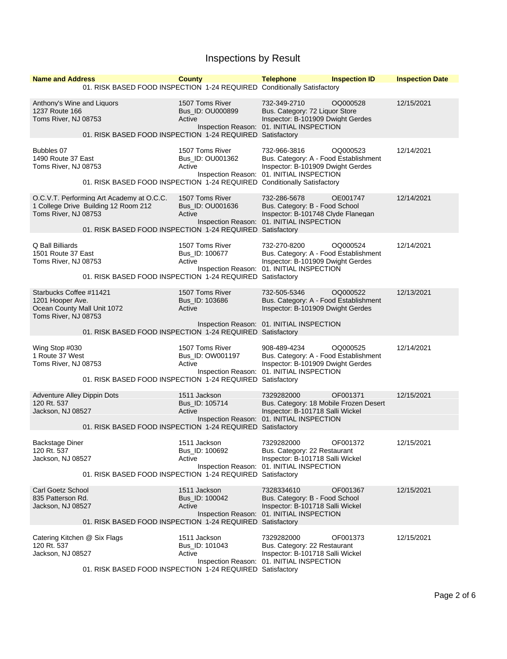| <b>Name and Address</b>                                                                            |                                                                                                                                                | <b>County</b>                                 | <b>Telephone</b>                                                                                                                        | <b>Inspection ID</b> | <b>Inspection Date</b> |
|----------------------------------------------------------------------------------------------------|------------------------------------------------------------------------------------------------------------------------------------------------|-----------------------------------------------|-----------------------------------------------------------------------------------------------------------------------------------------|----------------------|------------------------|
|                                                                                                    | 01. RISK BASED FOOD INSPECTION 1-24 REQUIRED Conditionally Satisfactory                                                                        |                                               |                                                                                                                                         |                      |                        |
| Anthony's Wine and Liquors<br>1237 Route 166<br>Toms River, NJ 08753                               | 01. RISK BASED FOOD INSPECTION 1-24 REQUIRED Satisfactory                                                                                      | 1507 Toms River<br>Bus_ID: OU000899<br>Active | 732-349-2710<br>Bus. Category: 72 Liquor Store<br>Inspector: B-101909 Dwight Gerdes<br>Inspection Reason: 01. INITIAL INSPECTION        | OQ000528             | 12/15/2021             |
| Bubbles 07<br>1490 Route 37 East<br>Toms River, NJ 08753                                           | 01. RISK BASED FOOD INSPECTION 1-24 REQUIRED Conditionally Satisfactory                                                                        | 1507 Toms River<br>Bus ID: OU001362<br>Active | 732-966-3816<br>Bus. Category: A - Food Establishment<br>Inspector: B-101909 Dwight Gerdes<br>Inspection Reason: 01. INITIAL INSPECTION | OQ000523             | 12/14/2021             |
| Toms River, NJ 08753                                                                               | O.C.V.T. Performing Art Academy at O.C.C.<br>1 College Drive Building 12 Room 212<br>01. RISK BASED FOOD INSPECTION 1-24 REQUIRED Satisfactory | 1507 Toms River<br>Bus_ID: OU001636<br>Active | 732-286-5678<br>Bus. Category: B - Food School<br>Inspector: B-101748 Clyde Flanegan<br>Inspection Reason: 01. INITIAL INSPECTION       | OE001747             | 12/14/2021             |
| Q Ball Billiards<br>1501 Route 37 East<br>Toms River, NJ 08753                                     | 01. RISK BASED FOOD INSPECTION 1-24 REQUIRED Satisfactory                                                                                      | 1507 Toms River<br>Bus_ID: 100677<br>Active   | 732-270-8200<br>Bus. Category: A - Food Establishment<br>Inspector: B-101909 Dwight Gerdes<br>Inspection Reason: 01. INITIAL INSPECTION | OQ000524             | 12/14/2021             |
| Starbucks Coffee #11421<br>1201 Hooper Ave.<br>Ocean County Mall Unit 1072<br>Toms River, NJ 08753 |                                                                                                                                                | 1507 Toms River<br>Bus_ID: 103686<br>Active   | 732-505-5346<br>Bus. Category: A - Food Establishment<br>Inspector: B-101909 Dwight Gerdes<br>Inspection Reason: 01. INITIAL INSPECTION | OQ000522             | 12/13/2021             |
| Wing Stop #030<br>1 Route 37 West<br>Toms River, NJ 08753                                          | 01. RISK BASED FOOD INSPECTION 1-24 REQUIRED Satisfactory<br>01. RISK BASED FOOD INSPECTION 1-24 REQUIRED Satisfactory                         | 1507 Toms River<br>Bus_ID: OW001197<br>Active | 908-489-4234<br>Bus. Category: A - Food Establishment<br>Inspector: B-101909 Dwight Gerdes<br>Inspection Reason: 01. INITIAL INSPECTION | OQ000525             | 12/14/2021             |
| <b>Adventure Alley Dippin Dots</b><br>120 Rt. 537<br>Jackson, NJ 08527                             | 01. RISK BASED FOOD INSPECTION 1-24 REQUIRED Satisfactory                                                                                      | 1511 Jackson<br>Bus_ID: 105714<br>Active      | 7329282000<br>Bus. Category: 18 Mobile Frozen Desert<br>Inspector: B-101718 Salli Wickel<br>Inspection Reason: 01. INITIAL INSPECTION   | OF001371             | 12/15/2021             |
| Backstage Diner<br>120 Rt. 537<br>Jackson, NJ 08527                                                | 01. RISK BASED FOOD INSPECTION 1-24 REQUIRED Satisfactory                                                                                      | 1511 Jackson<br>Bus_ID: 100692<br>Active      | 7329282000<br>Bus. Category: 22 Restaurant<br>Inspector: B-101718 Salli Wickel<br>Inspection Reason: 01. INITIAL INSPECTION             | OF001372             | 12/15/2021             |
| <b>Carl Goetz School</b><br>835 Patterson Rd.<br>Jackson, NJ 08527                                 | 01. RISK BASED FOOD INSPECTION 1-24 REQUIRED Satisfactory                                                                                      | 1511 Jackson<br>Bus_ID: 100042<br>Active      | 7328334610<br>Bus. Category: B - Food School<br>Inspector: B-101718 Salli Wickel<br>Inspection Reason: 01. INITIAL INSPECTION           | OF001367             | 12/15/2021             |
| Catering Kitchen @ Six Flags<br>120 Rt. 537<br>Jackson, NJ 08527                                   | 01. RISK BASED FOOD INSPECTION 1-24 REQUIRED Satisfactory                                                                                      | 1511 Jackson<br>Bus ID: 101043<br>Active      | 7329282000<br>Bus. Category: 22 Restaurant<br>Inspector: B-101718 Salli Wickel<br>Inspection Reason: 01. INITIAL INSPECTION             | OF001373             | 12/15/2021             |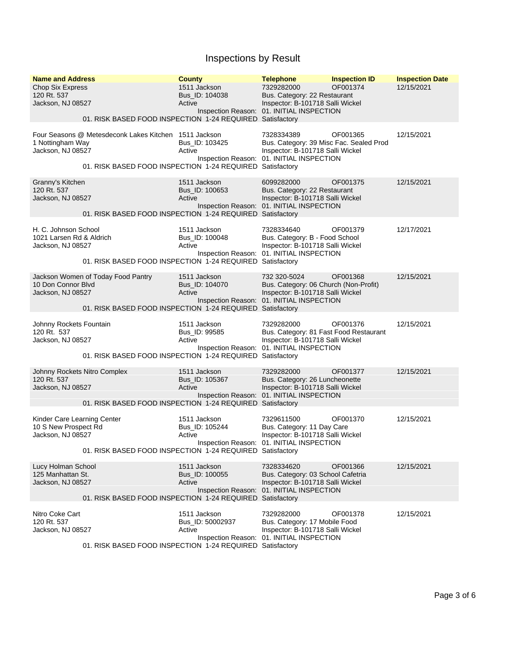| <b>Name and Address</b><br><b>Chop Six Express</b><br>120 Rt. 537<br>Jackson, NJ 08527 | 01. RISK BASED FOOD INSPECTION 1-24 REQUIRED Satisfactory                                                          | <b>County</b><br>1511 Jackson<br>Bus_ID: 104038<br>Active | <b>Telephone</b><br>7329282000<br>Bus. Category: 22 Restaurant<br>Inspector: B-101718 Salli Wickel<br>Inspection Reason: 01. INITIAL INSPECTION | <b>Inspection ID</b><br>OF001374 | <b>Inspection Date</b><br>12/15/2021 |
|----------------------------------------------------------------------------------------|--------------------------------------------------------------------------------------------------------------------|-----------------------------------------------------------|-------------------------------------------------------------------------------------------------------------------------------------------------|----------------------------------|--------------------------------------|
| 1 Nottingham Way<br>Jackson, NJ 08527                                                  | Four Seasons @ Metesdeconk Lakes Kitchen 1511 Jackson<br>01. RISK BASED FOOD INSPECTION 1-24 REQUIRED Satisfactory | Bus_ID: 103425<br>Active                                  | 7328334389<br>Bus. Category: 39 Misc Fac. Sealed Prod<br>Inspector: B-101718 Salli Wickel<br>Inspection Reason: 01. INITIAL INSPECTION          | OF001365                         | 12/15/2021                           |
| Granny's Kitchen<br>120 Rt. 537<br>Jackson, NJ 08527                                   | 01. RISK BASED FOOD INSPECTION 1-24 REQUIRED Satisfactory                                                          | 1511 Jackson<br>Bus_ID: 100653<br>Active                  | 6099282000<br>Bus. Category: 22 Restaurant<br>Inspector: B-101718 Salli Wickel<br>Inspection Reason: 01. INITIAL INSPECTION                     | OF001375                         | 12/15/2021                           |
| H. C. Johnson School<br>1021 Larsen Rd & Aldrich<br>Jackson, NJ 08527                  | 01. RISK BASED FOOD INSPECTION 1-24 REQUIRED Satisfactory                                                          | 1511 Jackson<br>Bus_ID: 100048<br>Active                  | 7328334640<br>Bus. Category: B - Food School<br>Inspector: B-101718 Salli Wickel<br>Inspection Reason: 01. INITIAL INSPECTION                   | OF001379                         | 12/17/2021                           |
| Jackson Women of Today Food Pantry<br>10 Don Connor Blvd<br>Jackson, NJ 08527          | 01. RISK BASED FOOD INSPECTION 1-24 REQUIRED Satisfactory                                                          | 1511 Jackson<br>Bus ID: 104070<br>Active                  | 732 320-5024<br>Bus. Category: 06 Church (Non-Profit)<br>Inspector: B-101718 Salli Wickel<br>Inspection Reason: 01. INITIAL INSPECTION          | OF001368                         | 12/15/2021                           |
| Johnny Rockets Fountain<br>120 Rt. 537<br>Jackson, NJ 08527                            | 01. RISK BASED FOOD INSPECTION 1-24 REQUIRED Satisfactory                                                          | 1511 Jackson<br>Bus_ID: 99585<br>Active                   | 7329282000<br>Bus. Category: 81 Fast Food Restaurant<br>Inspector: B-101718 Salli Wickel<br>Inspection Reason: 01. INITIAL INSPECTION           | OF001376                         | 12/15/2021                           |
| Johnny Rockets Nitro Complex<br>120 Rt. 537<br>Jackson, NJ 08527                       | 01. RISK BASED FOOD INSPECTION 1-24 REQUIRED Satisfactory                                                          | 1511 Jackson<br>Bus_ID: 105367<br>Active                  | 7329282000<br>Bus. Category: 26 Luncheonette<br>Inspector: B-101718 Salli Wickel<br>Inspection Reason: 01. INITIAL INSPECTION                   | OF001377                         | 12/15/2021                           |
| Kinder Care Learning Center<br>10 S New Prospect Rd<br>Jackson, NJ 08527               | 01. RISK BASED FOOD INSPECTION 1-24 REQUIRED Satisfactory                                                          | 1511 Jackson<br>Bus ID: 105244<br>Active                  | 7329611500<br>Bus. Category: 11 Day Care<br>Inspector: B-101718 Salli Wickel<br>Inspection Reason: 01. INITIAL INSPECTION                       | OF001370                         | 12/15/2021                           |
| Lucy Holman School<br>125 Manhattan St.<br>Jackson, NJ 08527                           | 01. RISK BASED FOOD INSPECTION 1-24 REQUIRED Satisfactory                                                          | 1511 Jackson<br>Bus_ID: 100055<br>Active                  | 7328334620<br>Bus. Category: 03 School Cafetria<br>Inspector: B-101718 Salli Wickel<br>Inspection Reason: 01. INITIAL INSPECTION                | OF001366                         | 12/15/2021                           |
| Nitro Coke Cart<br>120 Rt. 537<br>Jackson, NJ 08527                                    | 01. RISK BASED FOOD INSPECTION 1-24 REQUIRED Satisfactory                                                          | 1511 Jackson<br>Bus_ID: 50002937<br>Active                | 7329282000<br>Bus. Category: 17 Mobile Food<br>Inspector: B-101718 Salli Wickel<br>Inspection Reason: 01. INITIAL INSPECTION                    | OF001378                         | 12/15/2021                           |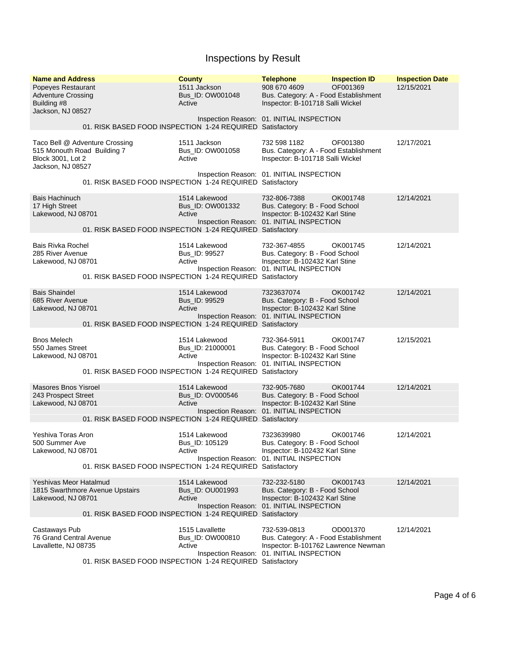| <b>Name and Address</b><br>Popeyes Restaurant<br><b>Adventure Crossing</b><br>Building #8<br>Jackson, NJ 08527 |                                                           | <b>County</b><br>1511 Jackson<br>Bus_ID: OW001048<br>Active | <b>Telephone</b><br>908 670 4609<br>Bus. Category: A - Food Establishment<br>Inspector: B-101718 Salli Wickel                                 | <b>Inspection ID</b><br>OF001369 | <b>Inspection Date</b><br>12/15/2021 |
|----------------------------------------------------------------------------------------------------------------|-----------------------------------------------------------|-------------------------------------------------------------|-----------------------------------------------------------------------------------------------------------------------------------------------|----------------------------------|--------------------------------------|
|                                                                                                                | 01. RISK BASED FOOD INSPECTION 1-24 REQUIRED Satisfactory |                                                             | Inspection Reason: 01. INITIAL INSPECTION                                                                                                     |                                  |                                      |
| Taco Bell @ Adventure Crossing<br>515 Monouth Road Building 7<br>Block 3001, Lot 2<br>Jackson, NJ 08527        |                                                           | 1511 Jackson<br>Bus_ID: OW001058<br>Active                  | 732 598 1182<br>Bus. Category: A - Food Establishment<br>Inspector: B-101718 Salli Wickel                                                     | OF001380                         | 12/17/2021                           |
|                                                                                                                | 01. RISK BASED FOOD INSPECTION 1-24 REQUIRED Satisfactory |                                                             | Inspection Reason: 01. INITIAL INSPECTION                                                                                                     |                                  |                                      |
| <b>Bais Hachinuch</b><br>17 High Street<br>Lakewood, NJ 08701                                                  | 01. RISK BASED FOOD INSPECTION 1-24 REQUIRED Satisfactory | 1514 Lakewood<br>Bus_ID: OW001332<br>Active                 | 732-806-7388<br>Bus. Category: B - Food School<br>Inspector: B-102432 Karl Stine<br>Inspection Reason: 01. INITIAL INSPECTION                 | OK001748                         | 12/14/2021                           |
| <b>Bais Rivka Rochel</b><br>285 River Avenue<br>Lakewood, NJ 08701                                             | 01. RISK BASED FOOD INSPECTION 1-24 REQUIRED Satisfactory | 1514 Lakewood<br>Bus_ID: 99527<br>Active                    | 732-367-4855<br>Bus. Category: B - Food School<br>Inspector: B-102432 Karl Stine<br>Inspection Reason: 01. INITIAL INSPECTION                 | OK001745                         | 12/14/2021                           |
| <b>Bais Shaindel</b><br>685 River Avenue<br>Lakewood, NJ 08701                                                 | 01. RISK BASED FOOD INSPECTION 1-24 REQUIRED Satisfactory | 1514 Lakewood<br>Bus_ID: 99529<br>Active                    | 7323637074<br>Bus. Category: B - Food School<br>Inspector: B-102432 Karl Stine<br>Inspection Reason: 01. INITIAL INSPECTION                   | OK001742                         | 12/14/2021                           |
| <b>Bnos Melech</b><br>550 James Street<br>Lakewood, NJ 08701                                                   | 01. RISK BASED FOOD INSPECTION 1-24 REQUIRED              | 1514 Lakewood<br>Bus_ID: 21000001<br>Active                 | 732-364-5911<br>Bus. Category: B - Food School<br>Inspector: B-102432 Karl Stine<br>Inspection Reason: 01. INITIAL INSPECTION<br>Satisfactory | OK001747                         | 12/15/2021                           |
| <b>Masores Bnos Yisroel</b><br>243 Prospect Street<br>Lakewood, NJ 08701                                       | 01. RISK BASED FOOD INSPECTION 1-24 REQUIRED Satisfactory | 1514 Lakewood<br>Bus ID: OV000546<br>Active                 | 732-905-7680<br>Bus. Category: B - Food School<br>Inspector: B-102432 Karl Stine<br>Inspection Reason: 01. INITIAL INSPECTION                 | OK001744                         | 12/14/2021                           |
| Yeshiva Toras Aron<br>500 Summer Ave<br>Lakewood, NJ 08701                                                     | 01. RISK BASED FOOD INSPECTION 1-24 REQUIRED Satisfactory | 1514 Lakewood<br>Bus_ID: 105129<br>Active                   | 7323639980<br>Bus. Category: B - Food School<br>Inspector: B-102432 Karl Stine<br>Inspection Reason: 01. INITIAL INSPECTION                   | OK001746                         | 12/14/2021                           |
| <b>Yeshivas Meor Hatalmud</b><br>1815 Swarthmore Avenue Upstairs<br>Lakewood, NJ 08701                         | 01. RISK BASED FOOD INSPECTION 1-24 REQUIRED Satisfactory | 1514 Lakewood<br>Bus_ID: OU001993<br>Active                 | 732-232-5180<br>Bus. Category: B - Food School<br>Inspector: B-102432 Karl Stine<br>Inspection Reason: 01. INITIAL INSPECTION                 | OK001743                         | 12/14/2021                           |
| Castaways Pub<br>76 Grand Central Avenue<br>Lavallette, NJ 08735                                               | 01. RISK BASED FOOD INSPECTION 1-24 REQUIRED Satisfactory | 1515 Lavallette<br>Bus ID: OW000810<br>Active               | 732-539-0813<br>Bus. Category: A - Food Establishment<br>Inspector: B-101762 Lawrence Newman<br>Inspection Reason: 01. INITIAL INSPECTION     | OD001370                         | 12/14/2021                           |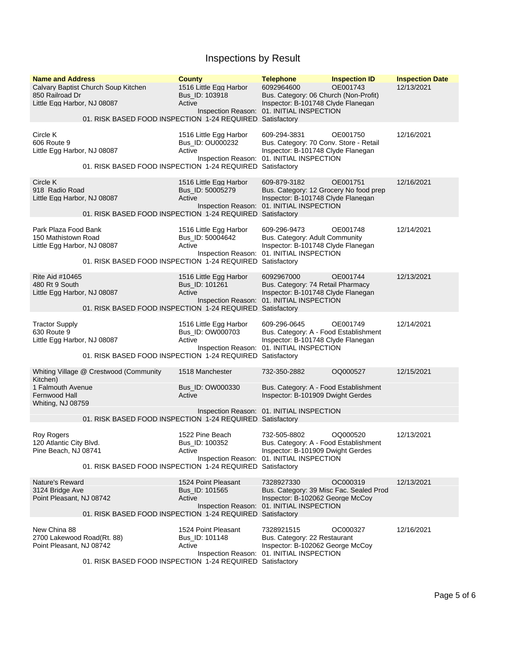| <b>Name and Address</b><br>850 Railroad Dr<br>Little Egg Harbor, NJ 08087  | Calvary Baptist Church Soup Kitchen<br>01. RISK BASED FOOD INSPECTION 1-24 REQUIRED Satisfactory    | <b>County</b><br>1516 Little Egg Harbor<br>Bus_ID: 103918<br>Active | <b>Telephone</b><br>6092964600<br>Bus. Category: 06 Church (Non-Profit)<br>Inspector: B-101748 Clyde Flanegan<br>Inspection Reason: 01. INITIAL INSPECTION | <b>Inspection ID</b><br>OE001743 | <b>Inspection Date</b><br>12/13/2021 |
|----------------------------------------------------------------------------|-----------------------------------------------------------------------------------------------------|---------------------------------------------------------------------|------------------------------------------------------------------------------------------------------------------------------------------------------------|----------------------------------|--------------------------------------|
| Circle K<br>606 Route 9<br>Little Egg Harbor, NJ 08087                     | 01. RISK BASED FOOD INSPECTION 1-24 REQUIRED Satisfactory                                           | 1516 Little Egg Harbor<br>Bus_ID: OU000232<br>Active                | 609-294-3831<br>Bus. Category: 70 Conv. Store - Retail<br>Inspector: B-101748 Clyde Flanegan<br>Inspection Reason: 01. INITIAL INSPECTION                  | OE001750                         | 12/16/2021                           |
| Circle K<br>918 Radio Road<br>Little Egg Harbor, NJ 08087                  | 01. RISK BASED FOOD INSPECTION 1-24 REQUIRED Satisfactory                                           | 1516 Little Egg Harbor<br>Bus_ID: 50005279<br>Active                | 609-879-3182<br>Bus. Category: 12 Grocery No food prep<br>Inspector: B-101748 Clyde Flanegan<br>Inspection Reason: 01. INITIAL INSPECTION                  | OE001751                         | 12/16/2021                           |
| Park Plaza Food Bank<br>150 Mathistown Road<br>Little Egg Harbor, NJ 08087 | 01. RISK BASED FOOD INSPECTION 1-24 REQUIRED Satisfactory                                           | 1516 Little Egg Harbor<br>Bus_ID: 50004642<br>Active                | 609-296-9473<br>Bus. Category: Adult Community<br>Inspector: B-101748 Clyde Flanegan<br>Inspection Reason: 01. INITIAL INSPECTION                          | OE001748                         | 12/14/2021                           |
| Rite Aid #10465<br>480 Rt 9 South<br>Little Egg Harbor, NJ 08087           | 01. RISK BASED FOOD INSPECTION 1-24 REQUIRED Satisfactory                                           | 1516 Little Egg Harbor<br>Bus_ID: 101261<br>Active                  | 6092967000<br>Bus. Category: 74 Retail Pharmacy<br>Inspector: B-101748 Clyde Flanegan<br>Inspection Reason: 01. INITIAL INSPECTION                         | OE001744                         | 12/13/2021                           |
| <b>Tractor Supply</b><br>630 Route 9<br>Little Egg Harbor, NJ 08087        | 01. RISK BASED FOOD INSPECTION 1-24 REQUIRED Satisfactory                                           | 1516 Little Egg Harbor<br>Bus_ID: OW000703<br>Active                | 609-296-0645<br>Bus. Category: A - Food Establishment<br>Inspector: B-101748 Clyde Flanegan<br>Inspection Reason: 01. INITIAL INSPECTION                   | OE001749                         | 12/14/2021                           |
| Kitchen)<br>1 Falmouth Avenue<br>Fernwood Hall<br>Whiting, NJ 08759        | Whiting Village @ Crestwood (Community<br>01. RISK BASED FOOD INSPECTION 1-24 REQUIRED Satisfactory | 1518 Manchester<br>Bus_ID: OW000330<br>Active                       | 732-350-2882<br>Bus. Category: A - Food Establishment<br>Inspector: B-101909 Dwight Gerdes<br>Inspection Reason: 01. INITIAL INSPECTION                    | OQ000527                         | 12/15/2021                           |
| Roy Rogers<br>120 Atlantic City Blvd.<br>Pine Beach, NJ 08741              | 01. RISK BASED FOOD INSPECTION 1-24 REQUIRED Satisfactory                                           | 1522 Pine Beach<br>Bus_ID: 100352<br>Active                         | 732-505-8802<br>Bus. Category: A - Food Establishment<br>Inspector: B-101909 Dwight Gerdes<br>Inspection Reason: 01. INITIAL INSPECTION                    | OQ000520                         | 12/13/2021                           |
| Nature's Reward<br>3124 Bridge Ave<br>Point Pleasant, NJ 08742             | 01. RISK BASED FOOD INSPECTION 1-24 REQUIRED Satisfactory                                           | 1524 Point Pleasant<br>Bus ID: 101565<br>Active                     | 7328927330<br>Bus. Category: 39 Misc Fac. Sealed Prod<br>Inspector: B-102062 George McCoy<br>Inspection Reason: 01. INITIAL INSPECTION                     | OC000319                         | 12/13/2021                           |
| New China 88<br>2700 Lakewood Road(Rt. 88)<br>Point Pleasant, NJ 08742     | 01. RISK BASED FOOD INSPECTION 1-24 REQUIRED Satisfactory                                           | 1524 Point Pleasant<br>Bus_ID: 101148<br>Active                     | 7328921515<br>Bus. Category: 22 Restaurant<br>Inspector: B-102062 George McCoy<br>Inspection Reason: 01. INITIAL INSPECTION                                | OC000327                         | 12/16/2021                           |